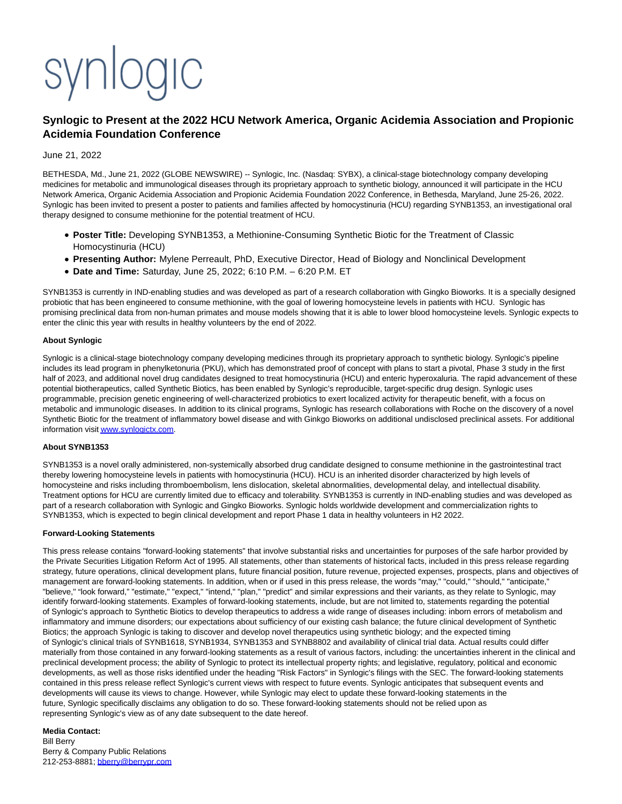# synlogic

# **Synlogic to Present at the 2022 HCU Network America, Organic Acidemia Association and Propionic Acidemia Foundation Conference**

## June 21, 2022

BETHESDA, Md., June 21, 2022 (GLOBE NEWSWIRE) -- Synlogic, Inc. (Nasdaq: SYBX), a clinical-stage biotechnology company developing medicines for metabolic and immunological diseases through its proprietary approach to synthetic biology, announced it will participate in the HCU Network America, Organic Acidemia Association and Propionic Acidemia Foundation 2022 Conference, in Bethesda, Maryland, June 25-26, 2022. Synlogic has been invited to present a poster to patients and families affected by homocystinuria (HCU) regarding SYNB1353, an investigational oral therapy designed to consume methionine for the potential treatment of HCU.

- **Poster Title:** Developing SYNB1353, a Methionine-Consuming Synthetic Biotic for the Treatment of Classic Homocystinuria (HCU)
- **Presenting Author:** Mylene Perreault, PhD, Executive Director, Head of Biology and Nonclinical Development
- **Date and Time:** Saturday, June 25, 2022; 6:10 P.M. 6:20 P.M. ET

SYNB1353 is currently in IND-enabling studies and was developed as part of a research collaboration with Gingko Bioworks. It is a specially designed probiotic that has been engineered to consume methionine, with the goal of lowering homocysteine levels in patients with HCU. Synlogic has promising preclinical data from non-human primates and mouse models showing that it is able to lower blood homocysteine levels. Synlogic expects to enter the clinic this year with results in healthy volunteers by the end of 2022.

## **About Synlogic**

Synlogic is a clinical-stage biotechnology company developing medicines through its proprietary approach to synthetic biology. Synlogic's pipeline includes its lead program in phenylketonuria (PKU), which has demonstrated proof of concept with plans to start a pivotal, Phase 3 study in the first half of 2023, and additional novel drug candidates designed to treat homocystinuria (HCU) and enteric hyperoxaluria. The rapid advancement of these potential biotherapeutics, called Synthetic Biotics, has been enabled by Synlogic's reproducible, target-specific drug design. Synlogic uses programmable, precision genetic engineering of well-characterized probiotics to exert localized activity for therapeutic benefit, with a focus on metabolic and immunologic diseases. In addition to its clinical programs, Synlogic has research collaborations with Roche on the discovery of a novel Synthetic Biotic for the treatment of inflammatory bowel disease and with Ginkgo Bioworks on additional undisclosed preclinical assets. For additional information visi[t www.synlogictx.com.](https://www.globenewswire.com/Tracker?data=8MyVXv8ATn_Bv4oo70baW_ZLY_RGoy7qOwEq8PuSv9aBBXxbveuRqLneBG0HKaHYfgYPSbCAXPvP1jZ_CHoarBOioJEWzwfIXBM-2VrhESicNwzBEOzBiiQyg3gpDrJobgdNYIPoL0fBeMYJKv7QVs1qv3a3nYftorRyKAB8sXmz9DiVVnJgRzz2L3iO9ny3zeon3DjxAqUiFLUiiNx02w5KQyfj8LsqIoGxxmoDePrCQAEyVLwze8jD_FW5ZuZf)

## **About SYNB1353**

SYNB1353 is a novel orally administered, non-systemically absorbed drug candidate designed to consume methionine in the gastrointestinal tract thereby lowering homocysteine levels in patients with homocystinuria (HCU). HCU is an inherited disorder characterized by high levels of homocysteine and risks including thromboembolism, lens dislocation, skeletal abnormalities, developmental delay, and intellectual disability. Treatment options for HCU are currently limited due to efficacy and tolerability. SYNB1353 is currently in IND-enabling studies and was developed as part of a research collaboration with Synlogic and Gingko Bioworks. Synlogic holds worldwide development and commercialization rights to SYNB1353, which is expected to begin clinical development and report Phase 1 data in healthy volunteers in H2 2022.

### **Forward-Looking Statements**

This press release contains "forward-looking statements" that involve substantial risks and uncertainties for purposes of the safe harbor provided by the Private Securities Litigation Reform Act of 1995. All statements, other than statements of historical facts, included in this press release regarding strategy, future operations, clinical development plans, future financial position, future revenue, projected expenses, prospects, plans and objectives of management are forward-looking statements. In addition, when or if used in this press release, the words "may," "could," "should," "anticipate," "believe," "look forward," "estimate," "expect," "intend," "plan," "predict" and similar expressions and their variants, as they relate to Synlogic, may identify forward-looking statements. Examples of forward-looking statements, include, but are not limited to, statements regarding the potential of Synlogic's approach to Synthetic Biotics to develop therapeutics to address a wide range of diseases including: inborn errors of metabolism and inflammatory and immune disorders; our expectations about sufficiency of our existing cash balance; the future clinical development of Synthetic Biotics; the approach Synlogic is taking to discover and develop novel therapeutics using synthetic biology; and the expected timing of Synlogic's clinical trials of SYNB1618, SYNB1934, SYNB1353 and SYNB8802 and availability of clinical trial data. Actual results could differ materially from those contained in any forward-looking statements as a result of various factors, including: the uncertainties inherent in the clinical and preclinical development process; the ability of Synlogic to protect its intellectual property rights; and legislative, regulatory, political and economic developments, as well as those risks identified under the heading "Risk Factors" in Synlogic's filings with the SEC. The forward-looking statements contained in this press release reflect Synlogic's current views with respect to future events. Synlogic anticipates that subsequent events and developments will cause its views to change. However, while Synlogic may elect to update these forward-looking statements in the future, Synlogic specifically disclaims any obligation to do so. These forward-looking statements should not be relied upon as representing Synlogic's view as of any date subsequent to the date hereof.

**Media Contact:** Bill Berry Berry & Company Public Relations 212-253-8881[; bberry@berrypr.com](https://www.globenewswire.com/Tracker?data=MF_NZUzVtxtixt91VrQQqcq6GWOLauOnLQ7Q8o3WMTEUHuNyAoInSjAwr2fXE_i3z-FZpbnMJ2KbNRg0vcKvy5iO5WL5AOvNECEc8CsQWxQ=)